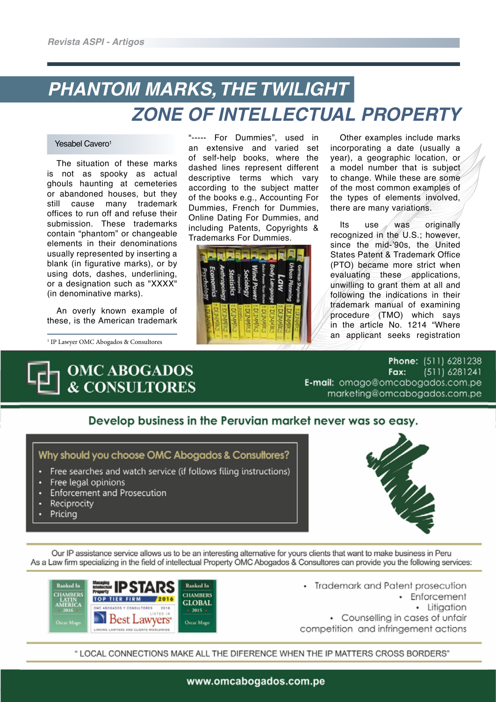# *PHANTOM MARKS, THE TWILIGHT ZONE OF INTELLECTUAL PROPERTY*

#### Yesabel Cavero<sup>1</sup>

The situation of these marks is not as spooky as actual ghouls haunting at cemeteries or abandoned houses, but they still cause many trademark offices to run off and refuse their submission. These trademarks contain "phantom" or changeable elements in their denominations usually represented by inserting a blank (in figurative marks), or by using dots, dashes, underlining, or a designation such as "XXXX" (in denominative marks).

An overly known example of these, is the American trademark

1 IP Lawyer OMC Abogados & Consultores



"----- For Dummies", used in an extensive and varied set of self-help books, where the dashed lines represent different descriptive terms which vary according to the subject matter of the books e.g., Accounting For Dummies, French for Dummies, Online Dating For Dummies, and including Patents, Copyrights & Trademarks For Dummies.



Other examples include marks incorporating a date (usually a year), a geographic location, or a model number that is subject to change. While these are some of the most common examples of the types of elements involved, there are many variations.

Its use was originally recognized in the U.S.; however, since the mid-'90s, the United States Patent & Trademark Office (PTO) became more strict when evaluating these applications, unwilling to grant them at all and following the indications in their trademark manual of examining procedure (TMO) which says in the article No. 1214 "Where an applicant seeks registration

Phone: (511) 6281238  $(511)$  6281241 Fax: E-mail: omago@omcabogados.com.pe marketing@omcabogados.com.pe

### Develop business in the Peruvian market never was so easy.



- Free searches and watch service (if follows filing instructions)
- Free legal opinions
- Enforcement and Prosecution
- Reciprocity
- Pricing



Our IP assistance service allows us to be an interesting alternative for yours clients that want to make business in Peru As a Law firm specializing in the field of intellectual Property OMC Abogados & Consultores can provide you the following services:



• Trademark and Patent prosecution • Enforcement · Litiaation • Counselling in cases of unfair competition and infringement actions

" LOCAL CONNECTIONS MAKE ALL THE DIFERENCE WHEN THE IP MATTERS CROSS BORDERS"

www.omcabogados.com.pe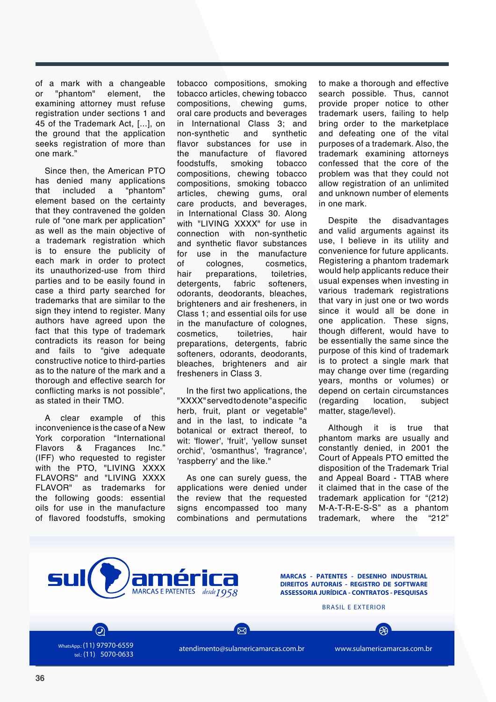of a mark with a changeable or "phantom" element, the examining attorney must refuse registration under sections 1 and 45 of the Trademark Act, [...], on the ground that the application seeks registration of more than one mark."

Since then, the American PTO has denied many applications that included a "phantom" element based on the certainty that they contravened the golden rule of "one mark per application" as well as the main objective of a trademark registration which is to ensure the publicity of each mark in order to protect its unauthorized-use from third parties and to be easily found in case a third party searched for trademarks that are similar to the sign they intend to register. Many authors have agreed upon the fact that this type of trademark contradicts its reason for being and fails to "give adequate constructive notice to third-parties as to the nature of the mark and a thorough and effective search for conflicting marks is not possible", as stated in their TMO.

A clear example of this inconvenience is the case of a New York corporation "International Flavors & Fragances Inc." (IFF) who requested to register with the PTO, "LIVING XXXX FLAVORS" and "LIVING XXXX<br>FLAVOR" as trademarks for as trademarks for the following goods: essential oils for use in the manufacture of flavored foodstuffs, smoking

> WhatsApp.: (11) 97970-6559 tel.: (11) 5070-0633

tobacco compositions, smoking tobacco articles, chewing tobacco compositions, chewing gums, oral care products and beverages in International Class 3; and non-synthetic and synthetic flavor substances for use in the manufacture of flavored foodstuffs, smoking tobacco compositions, chewing tobacco compositions, smoking tobacco articles, chewing gums, oral care products, and beverages, in International Class 30. Along with "LIVING XXXX" for use in connection with non-synthetic and synthetic flavor substances for use in the manufacture of colognes, cosmetics, hair preparations, toiletries, detergents, fabric softeners, odorants, deodorants, bleaches, brighteners and air fresheners, in Class 1; and essential oils for use in the manufacture of colognes, cosmetics, toiletries, hair preparations, detergents, fabric softeners, odorants, deodorants, bleaches, brighteners and air fresheners in Class 3.

In the first two applications, the "XXXX" served to denote "a specific herb, fruit, plant or vegetable" and in the last, to indicate "a botanical or extract thereof, to wit: 'flower', 'fruit', 'yellow sunset orchid', 'osmanthus', 'fragrance', 'raspberry' and the like."

As one can surely guess, the applications were denied under the review that the requested signs encompassed too many combinations and permutations to make a thorough and effective search possible. Thus, cannot provide proper notice to other trademark users, failing to help bring order to the marketplace and defeating one of the vital purposes of a trademark. Also, the trademark examining attorneys confessed that the core of the problem was that they could not allow registration of an unlimited and unknown number of elements in one mark.

Despite the disadvantages and valid arguments against its use, I believe in its utility and convenience for future applicants. Registering a phantom trademark would help applicants reduce their usual expenses when investing in various trademark registrations that vary in just one or two words since it would all be done in one application. These signs, though different, would have to be essentially the same since the purpose of this kind of trademark is to protect a single mark that may change over time (regarding years, months or volumes) or depend on certain circumstances (regarding location, subject matter, stage/level).

Although it is true that phantom marks are usually and constantly denied, in 2001 the Court of Appeals PTO emitted the disposition of the Trademark Trial and Appeal Board - TTAB where it claimed that in the case of the trademark application for "(212) M-A-T-R-E-S-S" as a phantom trademark, where the



atendimento@sulamericamarcas.com.br www.sulamericamarcas.com.br